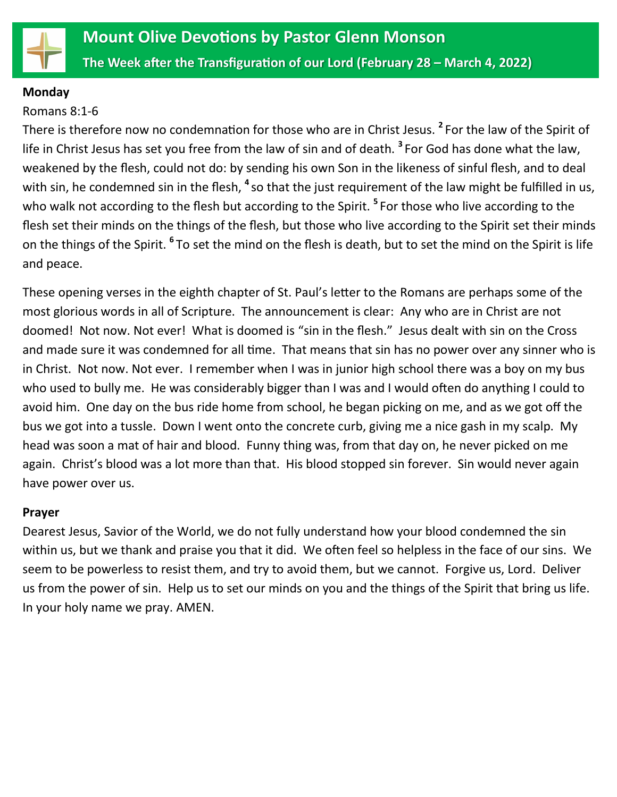

#### **Monday**

### Romans 8:1-6

There is therefore now no condemnation for those who are in Christ Jesus. **<sup>2</sup>** For the law of the Spirit of life in Christ Jesus has set you free from the law of sin and of death. **<sup>3</sup>** For God has done what the law, weakened by the flesh, could not do: by sending his own Son in the likeness of sinful flesh, and to deal with sin, he condemned sin in the flesh, <sup>4</sup> so that the just requirement of the law might be fulfilled in us, who walk not according to the flesh but according to the Spirit. **<sup>5</sup>** For those who live according to the flesh set their minds on the things of the flesh, but those who live according to the Spirit set their minds on the things of the Spirit. **<sup>6</sup>** To set the mind on the flesh is death, but to set the mind on the Spirit is life and peace.

These opening verses in the eighth chapter of St. Paul's letter to the Romans are perhaps some of the most glorious words in all of Scripture. The announcement is clear: Any who are in Christ are not doomed! Not now. Not ever! What is doomed is "sin in the flesh." Jesus dealt with sin on the Cross and made sure it was condemned for all time. That means that sin has no power over any sinner who is in Christ. Not now. Not ever. I remember when I was in junior high school there was a boy on my bus who used to bully me. He was considerably bigger than I was and I would often do anything I could to avoid him. One day on the bus ride home from school, he began picking on me, and as we got off the bus we got into a tussle. Down I went onto the concrete curb, giving me a nice gash in my scalp. My head was soon a mat of hair and blood. Funny thing was, from that day on, he never picked on me again. Christ's blood was a lot more than that. His blood stopped sin forever. Sin would never again have power over us.

#### **Prayer**

Dearest Jesus, Savior of the World, we do not fully understand how your blood condemned the sin within us, but we thank and praise you that it did. We often feel so helpless in the face of our sins. We seem to be powerless to resist them, and try to avoid them, but we cannot. Forgive us, Lord. Deliver us from the power of sin. Help us to set our minds on you and the things of the Spirit that bring us life. In your holy name we pray. AMEN.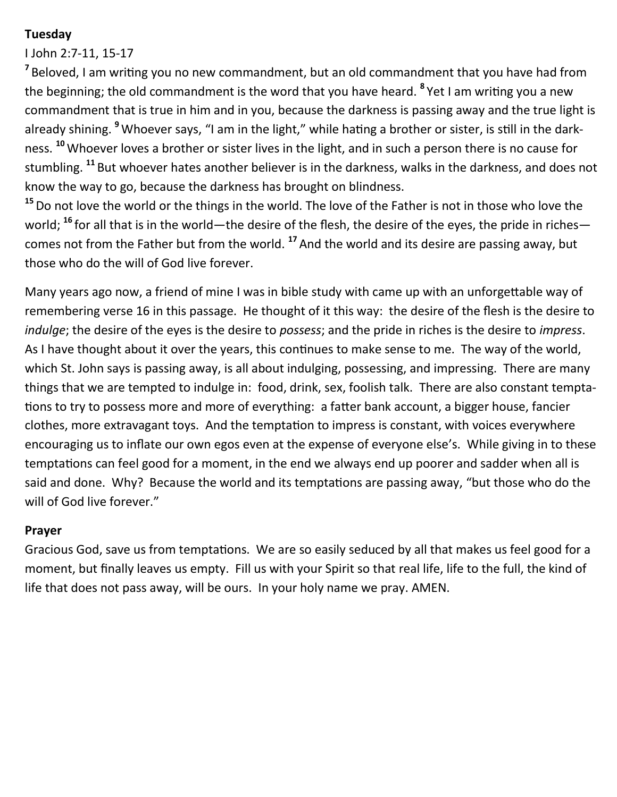# **Tuesday**

# I John 2:7-11, 15-17

**7** Beloved, I am writing you no new commandment, but an old commandment that you have had from the beginning; the old commandment is the word that you have heard. **<sup>8</sup>** Yet I am writing you a new commandment that is true in him and in you, because the darkness is passing away and the true light is already shining. **<sup>9</sup>** Whoever says, "I am in the light," while hating a brother or sister, is still in the darkness. **<sup>10</sup>** Whoever loves a brother or sister lives in the light, and in such a person there is no cause for stumbling. **<sup>11</sup>** But whoever hates another believer is in the darkness, walks in the darkness, and does not know the way to go, because the darkness has brought on blindness.

**<sup>15</sup>**Do not love the world or the things in the world. The love of the Father is not in those who love the world; <sup>16</sup> for all that is in the world—the desire of the flesh, the desire of the eyes, the pride in riches comes not from the Father but from the world. **<sup>17</sup>** And the world and its desire are passing away, but those who do the will of God live forever.

Many years ago now, a friend of mine I was in bible study with came up with an unforgettable way of remembering verse 16 in this passage. He thought of it this way: the desire of the flesh is the desire to *indulge*; the desire of the eyes is the desire to *possess*; and the pride in riches is the desire to *impress*. As I have thought about it over the years, this continues to make sense to me. The way of the world, which St. John says is passing away, is all about indulging, possessing, and impressing. There are many things that we are tempted to indulge in: food, drink, sex, foolish talk. There are also constant temptations to try to possess more and more of everything: a fatter bank account, a bigger house, fancier clothes, more extravagant toys. And the temptation to impress is constant, with voices everywhere encouraging us to inflate our own egos even at the expense of everyone else's. While giving in to these temptations can feel good for a moment, in the end we always end up poorer and sadder when all is said and done. Why? Because the world and its temptations are passing away, "but those who do the will of God live forever."

# **Prayer**

Gracious God, save us from temptations. We are so easily seduced by all that makes us feel good for a moment, but finally leaves us empty. Fill us with your Spirit so that real life, life to the full, the kind of life that does not pass away, will be ours. In your holy name we pray. AMEN.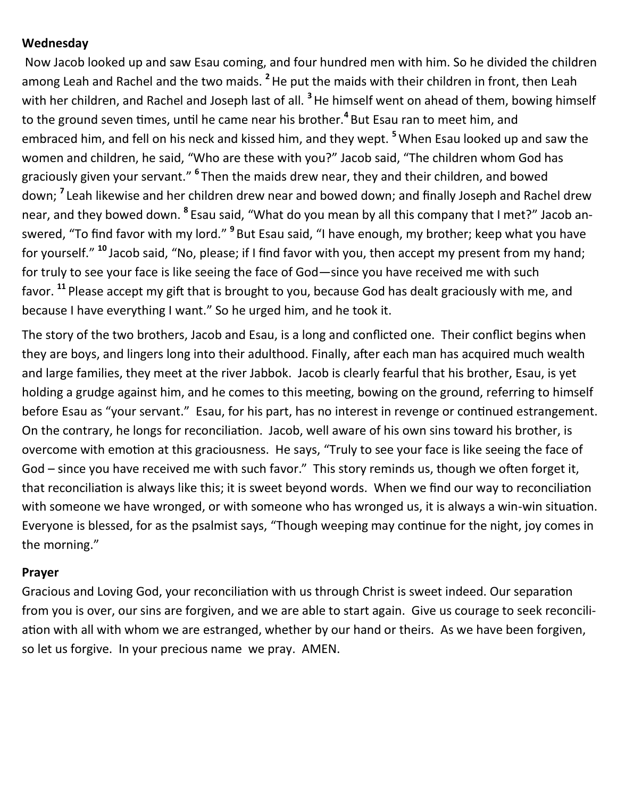### **Wednesday**

Now Jacob looked up and saw Esau coming, and four hundred men with him. So he divided the children among Leah and Rachel and the two maids. **<sup>2</sup>** He put the maids with their children in front, then Leah with her children, and Rachel and Joseph last of all. **<sup>3</sup>** He himself went on ahead of them, bowing himself to the ground seven times, until he came near his brother.**<sup>4</sup>** But Esau ran to meet him, and embraced him, and fell on his neck and kissed him, and they wept. **<sup>5</sup>**When Esau looked up and saw the women and children, he said, "Who are these with you?" Jacob said, "The children whom God has graciously given your servant." <sup>6</sup> Then the maids drew near, they and their children, and bowed down; **<sup>7</sup>** Leah likewise and her children drew near and bowed down; and finally Joseph and Rachel drew near, and they bowed down. **<sup>8</sup>** Esau said, "What do you mean by all this company that I met?" Jacob answered, "To find favor with my lord." <sup>9</sup> But Esau said, "I have enough, my brother; keep what you have for yourself." **<sup>10</sup>** Jacob said, "No, please; if I find favor with you, then accept my present from my hand; for truly to see your face is like seeing the face of God—since you have received me with such favor. **<sup>11</sup>** Please accept my gift that is brought to you, because God has dealt graciously with me, and because I have everything I want." So he urged him, and he took it.

The story of the two brothers, Jacob and Esau, is a long and conflicted one. Their conflict begins when they are boys, and lingers long into their adulthood. Finally, after each man has acquired much wealth and large families, they meet at the river Jabbok. Jacob is clearly fearful that his brother, Esau, is yet holding a grudge against him, and he comes to this meeting, bowing on the ground, referring to himself before Esau as "your servant." Esau, for his part, has no interest in revenge or continued estrangement. On the contrary, he longs for reconciliation. Jacob, well aware of his own sins toward his brother, is overcome with emotion at this graciousness. He says, "Truly to see your face is like seeing the face of God – since you have received me with such favor." This story reminds us, though we often forget it, that reconciliation is always like this; it is sweet beyond words. When we find our way to reconciliation with someone we have wronged, or with someone who has wronged us, it is always a win-win situation. Everyone is blessed, for as the psalmist says, "Though weeping may continue for the night, joy comes in the morning."

### **Prayer**

Gracious and Loving God, your reconciliation with us through Christ is sweet indeed. Our separation from you is over, our sins are forgiven, and we are able to start again. Give us courage to seek reconciliation with all with whom we are estranged, whether by our hand or theirs. As we have been forgiven, so let us forgive. In your precious name we pray. AMEN.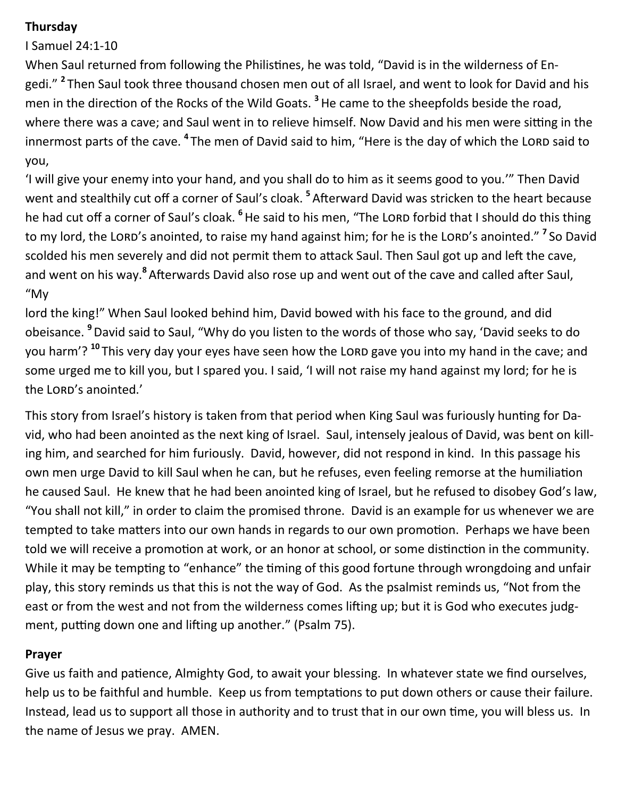# **Thursday**

I Samuel 24:1-10

When Saul returned from following the Philistines, he was told, "David is in the wilderness of Engedi." **2** Then Saul took three thousand chosen men out of all Israel, and went to look for David and his men in the direction of the Rocks of the Wild Goats. **<sup>3</sup>** He came to the sheepfolds beside the road, where there was a cave; and Saul went in to relieve himself. Now David and his men were sitting in the innermost parts of the cave. <sup>4</sup> The men of David said to him, "Here is the day of which the LORD said to you,

'I will give your enemy into your hand, and you shall do to him as it seems good to you.'" Then David went and stealthily cut off a corner of Saul's cloak. **<sup>5</sup>** Afterward David was stricken to the heart because he had cut off a corner of Saul's cloak. <sup>6</sup> He said to his men, "The Lorn forbid that I should do this thing to my lord, the Lorn's anointed, to raise my hand against him; for he is the Lorn's anointed." <sup>7</sup> So David scolded his men severely and did not permit them to attack Saul. Then Saul got up and left the cave, and went on his way.**<sup>8</sup>** Afterwards David also rose up and went out of the cave and called after Saul, "My

lord the king!" When Saul looked behind him, David bowed with his face to the ground, and did obeisance. **<sup>9</sup>** David said to Saul, "Why do you listen to the words of those who say, 'David seeks to do you harm'? <sup>10</sup> This very day your eyes have seen how the LORD gave you into my hand in the cave; and some urged me to kill you, but I spared you. I said, 'I will not raise my hand against my lord; for he is the LORD's anointed.'

This story from Israel's history is taken from that period when King Saul was furiously hunting for David, who had been anointed as the next king of Israel. Saul, intensely jealous of David, was bent on killing him, and searched for him furiously. David, however, did not respond in kind. In this passage his own men urge David to kill Saul when he can, but he refuses, even feeling remorse at the humiliation he caused Saul. He knew that he had been anointed king of Israel, but he refused to disobey God's law, "You shall not kill," in order to claim the promised throne. David is an example for us whenever we are tempted to take matters into our own hands in regards to our own promotion. Perhaps we have been told we will receive a promotion at work, or an honor at school, or some distinction in the community. While it may be tempting to "enhance" the timing of this good fortune through wrongdoing and unfair play, this story reminds us that this is not the way of God. As the psalmist reminds us, "Not from the east or from the west and not from the wilderness comes lifting up; but it is God who executes judgment, putting down one and lifting up another." (Psalm 75).

# **Prayer**

Give us faith and patience, Almighty God, to await your blessing. In whatever state we find ourselves, help us to be faithful and humble. Keep us from temptations to put down others or cause their failure. Instead, lead us to support all those in authority and to trust that in our own time, you will bless us. In the name of Jesus we pray. AMEN.